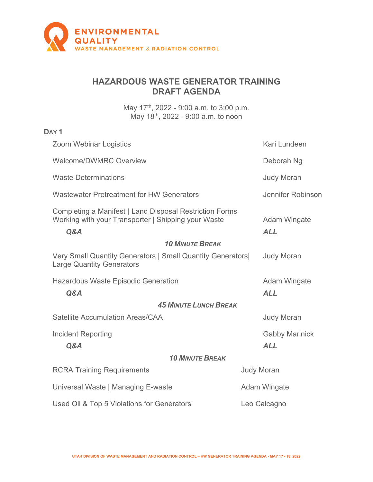

## **HAZARDOUS WASTE GENERATOR TRAINING DRAFT AGENDA**

May 17<sup>th</sup>, 2022 - 9:00 a.m. to 3:00 p.m. May 18th, 2022 - 9:00 a.m. to noon

## **DAY 1**

| <b>Zoom Webinar Logistics</b>                                                                                         | Kari Lundeen                      |  |
|-----------------------------------------------------------------------------------------------------------------------|-----------------------------------|--|
| <b>Welcome/DWMRC Overview</b>                                                                                         | Deborah Ng                        |  |
| <b>Waste Determinations</b>                                                                                           | <b>Judy Moran</b>                 |  |
| <b>Wastewater Pretreatment for HW Generators</b>                                                                      | Jennifer Robinson                 |  |
| Completing a Manifest   Land Disposal Restriction Forms<br>Working with your Transporter   Shipping your Waste<br>Q&A | <b>Adam Wingate</b><br><b>ALL</b> |  |
| <b>10 MINUTE BREAK</b>                                                                                                |                                   |  |
| Very Small Quantity Generators   Small Quantity Generators <br><b>Large Quantity Generators</b>                       | <b>Judy Moran</b>                 |  |
| <b>Hazardous Waste Episodic Generation</b>                                                                            | <b>Adam Wingate</b>               |  |
| Q&A                                                                                                                   | <b>ALL</b>                        |  |
| <b>45 MINUTE LUNCH BREAK</b>                                                                                          |                                   |  |
| <b>Satellite Accumulation Areas/CAA</b>                                                                               | <b>Judy Moran</b>                 |  |
| <b>Incident Reporting</b>                                                                                             | <b>Gabby Marinick</b>             |  |
| Q&A                                                                                                                   | <b>ALL</b>                        |  |
| <b>10 MINUTE BREAK</b>                                                                                                |                                   |  |
| <b>RCRA Training Requirements</b>                                                                                     | <b>Judy Moran</b>                 |  |
| Universal Waste   Managing E-waste                                                                                    | <b>Adam Wingate</b>               |  |
| Used Oil & Top 5 Violations for Generators                                                                            | Leo Calcagno                      |  |